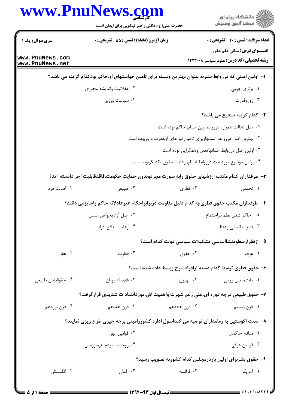|                                    | www.PnuNews.com                                                                                      |              |                                                                                     |
|------------------------------------|------------------------------------------------------------------------------------------------------|--------------|-------------------------------------------------------------------------------------|
|                                    | حضرت علی(ع): دانش راهبر نیکویی برای ایمان است                                                        |              |                                                                                     |
| <b>سری سوال :</b> یک ۱             | زمان آزمون (دقیقه) : تستی : 55 آتشریحی : 0                                                           |              | <b>تعداد سوالات : تستی : 40 ٪ تشریحی : 0</b><br><b>عنـــوان درس:</b> مبانی علم حقوق |
| www.PnuNews.com<br>www.PnuNews.net |                                                                                                      |              | <b>رشته تحصیلی/کد درس:</b> علوم سیاسی1۲۲۳۰۰۸                                        |
|                                    | ا– اولین اصلی که درروابط بشربه عنوان بهترین وسیله برای تامین خواستهای او،حاکم بودکدام گزینه می باشد؟ |              |                                                                                     |
|                                    | ۰۲ عقلانيت وانديشه محوري                                                                             |              | ۰۱ برتری جویی                                                                       |
|                                    | ۰۴ سیاست ورزی                                                                                        |              | ۰۳ زوروقدرت                                                                         |
|                                    |                                                                                                      |              | ۲- کدام گزینه صحیح می باشد؟                                                         |
|                                    |                                                                                                      |              | ٠١. اصل عدالت همواره درروابط بين انسانهاحاكم بوده است                               |
|                                    |                                                                                                      |              | ۰۲ بهترین اصل درروابط انسانهاوبرای تامین نیازهای او،قدرت وزوربوده است               |
|                                    |                                                                                                      |              | ۰۳ اولین اصل درروابط انسانهاتعقل وهمگرایی بوده است                                  |
|                                    |                                                                                                      |              | ۰۴ اولین موضوع موردبحث درروابط انسانهارعایت حقوق یکدیگربوده است                     |
|                                    | ۳– طرفداران کدام مکتب ارزشهای حقوق رابه صورت مجردوبدون حمایت حکومت،فاقدقابلیت اجرادانسته ا ند؟       |              |                                                                                     |
| ۰۴ اصالت فرد                       | ۰۳ طبیعی                                                                                             | ۰۲ فطری      | ۰۱ تحققی                                                                            |
|                                    | ۴– طرفداران مكتب حقوق فطرى،به كدام دليل مقاومت دربرابراحكام غيرعادلانه حاكم راجايزمي دانند؟          |              |                                                                                     |
|                                    | ۰۲ اصل آزادیخواهی انسان                                                                              |              | ٠١ حاكم شدن نظم دراجتماع                                                            |
|                                    | ۰۴ رعايت منافع افراد                                                                                 |              | ۰۳ فطرت انسانی وعدالت                                                               |
|                                    |                                                                                                      |              | ۵– ازنظرارسطومنشااساسی تشکیلات سیاسی دولت کدام است؟                                 |
| ۰۴ عقل                             | ۰۳ فطرت                                                                                              | ۰۲ حقوق      | ۰۱ عرف                                                                              |
|                                    |                                                                                                      |              | ۶– حقوق فطری توسط کدام دسته ازافرادشرح وبسط داده شده است؟                           |
| ۰۴ حقوقدانان طبيعي                 | ۰۳ فلاسفه يونان                                                                                      | ۰۲ الهيون    | ۰۱ دانشمندان رومی                                                                   |
|                                    | ۷– حقوق طبیعی درچه دوره ای،علی رغم شهرت واهمیت اش،موردانتقادات شدیدی قرارگرفت؟                       |              |                                                                                     |
| ۰۴ قرن نوزدهم                      | ۰۳ قرن هفدهم                                                                                         | ۰۲ قرن هجدهم | ۰۱ قرن بیستم                                                                        |
|                                    | ۸– سنت اگوستین به زمامداران توصیه می کنداصول اداره کشوررامبنی برچه چیزی طرح ریزی نمایند؟             |              |                                                                                     |
|                                    | ٢ . قوانين الهي                                                                                      |              | ٠١. منافع حاكمان                                                                    |
|                                    | ۰۴ روحیات مردم هرسرزمین                                                                              |              | ۰۳ قوانین عرفی                                                                      |
|                                    |                                                                                                      |              | ۹- حقوق بشربرای اولین باردرمجلس کدام کشوربه تصویب رسید؟                             |
| ۰۴ انگلستان                        | ۰۳ آلمان                                                                                             | ۰۲ فرانسه    | ۰۱ آمریکا                                                                           |
|                                    |                                                                                                      |              |                                                                                     |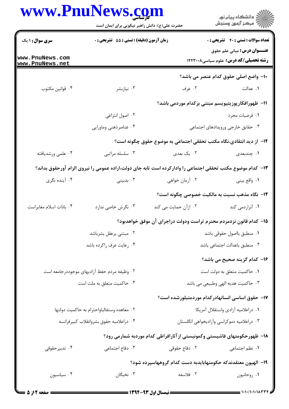|                                    | حضرت علی(ع): دانش راهبر نیکویی برای ایمان است |                                                                                                            | ِ<br>∭ دانشڪاه پيام نور<br>∭ مرڪز آزمون وسنڊش                                       |
|------------------------------------|-----------------------------------------------|------------------------------------------------------------------------------------------------------------|-------------------------------------------------------------------------------------|
| <b>سری سوال : ۱ یک</b>             | زمان آزمون (دقیقه) : تستی : 55 آتشریحی : 0    |                                                                                                            | <b>تعداد سوالات : تستی : 40 - تشریحی : .</b>                                        |
| www.PnuNews.com<br>www.PnuNews.net |                                               |                                                                                                            | <b>عنـــوان درس:</b> مبانی علم حقوق<br><b>رشته تحصیلی/کد درس:</b> علوم سیاسی۱۲۲۳۰۰۸ |
|                                    |                                               |                                                                                                            | ۱۰– واضع اصلی حقوق کدام عنصر می باشد؟                                               |
| ۰۴ قوانين مكتوب                    | ۰۳ نيازبشر                                    | ۰۲ عرف                                                                                                     | ٠. عدالت                                                                            |
|                                    |                                               |                                                                                                            | 11– ظهورافکارپوزیتیویسم مبتنی برکدام موردمی باشد؟                                   |
|                                    | ۰۲ اصول انتزاعی                               |                                                                                                            | ٠١ فرضيات مجرد                                                                      |
|                                    | ۰۴ عناصرذهني وماورايي                         |                                                                                                            | ۰۳ حقایق خارجی ورویدادهای اجتماعی                                                   |
|                                    |                                               | ۱۲– از دید انتقادی،نگاه مکتب تحققی اجتماعی به موضوع حقوق چگونه است؟                                        |                                                                                     |
| ۰۴ علمی ورشدیافته                  | ۰۳ سلسله مراتبي                               | ۰۲ يک بعدي                                                                                                 | ۰۱ چندبعدی                                                                          |
|                                    |                                               | ۱۳– کدام موضوع مکتب تحققی اجتماعی را وادارکرده است تابه جای دولت،اراده عمومی را نیروی الزام آورحقوق بداند؟ |                                                                                     |
| ۰۴ آینده نگری                      | ۰۳ بدبینی                                     | ۰۲ آرمان خواهی                                                                                             | ١. واقع بيني                                                                        |
|                                    |                                               |                                                                                                            | <b>۱۴</b> – نگاه مذهب نسبت به مالکیت خصوصی چگونه است؟                               |
| ۰۴ باذات اسلام مغايراست            | ۰۳ نگرش خاصی ندارد                            | ۰۲ ازآن حمایت می کند                                                                                       | ۰۱ آنراردمی کند                                                                     |
|                                    |                                               | ۱۵– کدام قانون نزدمردم محترم تراست ودولت دراجرای آن موفق خواهدبود؟                                         |                                                                                     |
|                                    | ۰۲ مبتنی برعقل بشرباشد                        |                                                                                                            | ٠١ منطبق بااصول حقوقي باشد                                                          |
|                                    | ۰۴ رعايت عرف راكرده باشد                      |                                                                                                            | ۰۳ منطبق باعدالت اجتماعی باشد                                                       |
|                                    |                                               |                                                                                                            | ۱۶– کدام گزینه صحیح می باشد؟                                                        |
|                                    | ۰۲ وظیفه مردم حفظ آزادیهای موجوددرجامعه است   |                                                                                                            | ۰۱ حاکمیت متعلق به دولت است                                                         |
|                                    | ۰۴ حاکمیت متعلق به ملت است                    |                                                                                                            | ۰۳ حاکمیت هدیه الهی وطبیعی می باشد                                                  |
|                                    |                                               |                                                                                                            | ۱۷– حقوق اساسی انسانهادرکدام موردمتبلورشده است؟                                     |
|                                    | ٠٢ معاهده وستفالياواحترام به حاكميت دولتها    |                                                                                                            | ٠١ دراعلاميه آزادي واستقلال آمريكا                                                  |
|                                    | ۰۴ دراعلاميه حقوق بشروانقلاب كبيرفرانسه       |                                                                                                            | ۰۳ دراعلامیه دموکراسی وآزادیخواهی انگلستان                                          |
|                                    |                                               | ۱۸– ظهورحکومتهای فاشیستی وکمونیستی از آثارافراطی کدام موردبه شمارمی رود؟                                   |                                                                                     |
| ۰۴ تدبیرحقوقی                      | ۰۳ دفاع اجتماعی                               | ۰۲ دفاع حقوقی                                                                                              | ٠١. نظم اجتماعي                                                                     |
|                                    |                                               | ۱۹– الهیون معتقدندکه حکومتهابایدبه دست کدام گروههاسپرده شود؟                                               |                                                                                     |
| ۰۴ سياسيون                         | ۰۳ نخبگان                                     | ۰۲ فلاسفه                                                                                                  | ٠١. روحانيون                                                                        |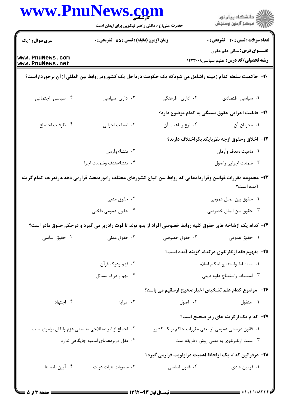| www.PnuNews.com                                     | حضرت علی(ع): دانش راهبر نیکویی برای ایمان است |                  | ڪ دانشڪاه پيام نور<br>پ <sup>ر</sup> مرڪز آزمون وسنڊش                                                                        |
|-----------------------------------------------------|-----------------------------------------------|------------------|------------------------------------------------------------------------------------------------------------------------------|
| <b>سری سوال : ۱ یک</b>                              | زمان آزمون (دقیقه) : تستی : 55 آتشریحی : 0    |                  | <b>تعداد سوالات : تستی : 40 - تشریحی : 0</b>                                                                                 |
| www.PnuNews.com<br>www.PnuNews.net                  |                                               |                  | <b>عنـــوان درس:</b> مبانی علم حقوق<br><b>رشته تحصیلی/کد درس:</b> علوم سیاسی1۲۲۳۰۰۸                                          |
|                                                     |                                               |                  | +۲- حاکمیت سلطه کدام زمینه راشامل می شودکه یک حکومت درداخل یک کشورودرروابط بین المللی از آن برخورداراست؟                     |
| ۰۴ سیاسی_اجتماعی                                    | ۰۳ اداری_سیاسی                                | ۰۲ اداری_ فرهنگی | ۰۱ سیاسی_اقتصادی                                                                                                             |
|                                                     |                                               |                  | <b>۲۱</b> - قابلیت اجرایی حقوق بستگی به کدام موضوع دارد؟                                                                     |
| ۴. ظرفيت اجتماع                                     | ۰۳ ضمانت اجرایی                               | ۰۲ نوع وماهيت آن | ١. مجريان أن                                                                                                                 |
|                                                     |                                               |                  | ٢٢- اخلاق وحقوق ازچه نظربايكديگراختلاف دارند؟                                                                                |
|                                                     | ۰۲ منشاء وأرمان                               |                  | ٠١ ماهيت ،هدف وأرمان                                                                                                         |
|                                                     | ۰۴ منشاء،هدف وضمانت اجرا                      |                  | ۰۳ ضمانت اجرایی واصول                                                                                                        |
|                                                     |                                               |                  | ۲۳– مجموعه مقررات،قوانین وقراردادهایی که روابط بین اتباع کشورهای مختلف راموردبحث قرارمی دهد،در تعریف کدام گزینه<br>آمده است؟ |
|                                                     | ۰۲ حقوق مدنی                                  |                  | ٠١ حقوق بين الملل عمومي                                                                                                      |
|                                                     | ۰۴ حقوق عمومی داخلی                           |                  | ٠٣ حقوق بين الملل خصوصي                                                                                                      |
|                                                     |                                               |                  | ۲۴– کدام یک ازشاخه های حقوق کلیه روابط خصوصی افراد از بدو تولد تا فوت رادربر می گیرد و درحکم حقوق مادر است؟                  |
| ۰۴ حقوق اساسی                                       | ۰۳ حقوق مدنی                                  | ۰۲ حقوق خصوصی    | ۰۱ حقوق عمومی                                                                                                                |
|                                                     |                                               |                  | ۲۵– مفهوم فقه ازنظرلغوی درکدام گزینه آمده است؟                                                                               |
|                                                     | ۰۲ فهم ودرک قرآن                              |                  | ٠١. استنباط واستنتاج احكام اسلام                                                                                             |
|                                                     | ۰۴ فهم و درک مسائل                            |                  | ۰۳ استنباط واستنتاج علوم ديني                                                                                                |
|                                                     |                                               |                  | ۲۶–۔موضوع کدام علم تشخیص اخبارصحیح ازسقیم می باشد؟                                                                           |
| ۰۴ اجتهاد                                           | ۰۳ درایه                                      | ۰۲ اصول          | ۰۱ منقول                                                                                                                     |
|                                                     |                                               |                  | <b>۳۷</b> - کدام یک ازگزینه های زیر صحیح است؟                                                                                |
| ۰۲ اجماع ازنظراصطلاحی به معنی عزم واتفاق برامری است |                                               |                  | ۰۱ قانون درمعنی عمومی تر یعنی مقررات حاکم بریک کشور                                                                          |
|                                                     | ۰۴ عقل درنزدعلمای امامیه جایگاهی ندارد        |                  | ۰۳ سنت ازنظرلغوي به معنى روش وطريقه است                                                                                      |
|                                                     |                                               |                  | ۲۸– درقوانین کدام یک ازلحاظ اهمیت،دراولویت قرارمی گیرد؟                                                                      |
| ۰۴ آیین نامه ها                                     | ۰۳ مصوبات هيات دولت                           | ۰۲ قانون اساسی   | ۰۱ قوانین عادی                                                                                                               |
|                                                     |                                               |                  |                                                                                                                              |

 $\blacksquare$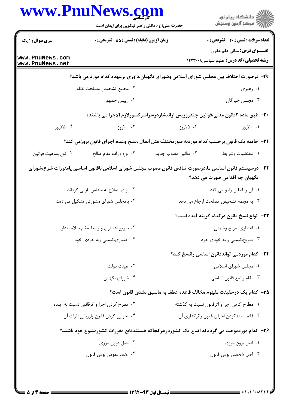|                                    | www.PnuNews.com<br>حضرت علی(ع): دانش راهبر نیکویی برای ایمان است |                     | ر<br>دانشڪاه پيام نور)<br>ا∛ مرڪز آزمون وسنڊش                                                                                                                         |
|------------------------------------|------------------------------------------------------------------|---------------------|-----------------------------------------------------------------------------------------------------------------------------------------------------------------------|
| <b>سری سوال : ۱ یک</b>             | زمان آزمون (دقیقه) : تستی : 55 آتشریحی : 0                       |                     | <b>تعداد سوالات : تستی : 40 - تشریحی : 0</b>                                                                                                                          |
| www.PnuNews.com<br>www.PnuNews.net |                                                                  |                     | <b>عنـــوان درس:</b> مبانی علم حقوق<br><b>رشته تحصیلی/کد درس:</b> علوم سیاسی1۲۲۳۰۰۸                                                                                   |
|                                    |                                                                  |                     | ۲۹- درصورت اختلاف بین مجلس شورای اسلامی وشورای نگهبان،داوری برعهده کدام مورد می باشد؟                                                                                 |
|                                    | ٠٢ مجمع تشخيص مصلحت نظام                                         |                     | ۰۱ رهبری                                                                                                                                                              |
|                                    | ۰۴ رییس جمهور                                                    |                     | ۰۳ مجلس خبرگان                                                                                                                                                        |
|                                    |                                                                  |                     | ۳۰– طبق ماده ۲قانون مدنی،قوانین چندروزپس ازانتشاردرسراسرکشورلازم الاجرا می باشند؟                                                                                     |
| ۰۴ ۲۵روز                           | ۰۰ ۲۰روز                                                         | ۰۲ ۱۵روز            | ۰۱ ۳۰ روز                                                                                                                                                             |
|                                    |                                                                  |                     | ٣١- خاتمه يک قانون برحسب کدام موردبه صورمختلف مثل ابطال ،نسخ وعدم اجراي قانون بروزمي کند؟                                                                             |
| ۰۴ نوع وماهيت قوانين               | ۰۳ نوع واراده مقام صالح                                          | ۰۲ قوانین مصوب جدید | ٠١ مقتضيات وشرايط                                                                                                                                                     |
|                                    | ۰۲ برای اصلاح به مجلس بازمی گرداند                               |                     | ۳۲– درسیستم قانون اساسی ما،درصورت تناقض قانون مصوب مجلس شورای اسلامی باقانون اساسی یامقررات شرع،شورای<br>نگهبان چه اقدامی صورت می دهد؟<br>٠١. أن را ابطال ولغو مي كند |
|                                    | ۰۴ بامجلس شورای مشورتی تشکیل می دهد                              |                     | ۰۳ به مجمع تشخیص مصلحت ارجاع می دهد                                                                                                                                   |
|                                    |                                                                  |                     |                                                                                                                                                                       |
|                                    | ۰۲ صریح،اعتباری وتوسط مقام صلاحیتدار                             |                     | ٣٣- انواع نسخ قانون دركدام گزينه آمده است؟<br>۰۱ اعتباری،صریح وضمنی                                                                                                   |
|                                    | ۰۴ اعتباری،ضمنی وبه خودی خود                                     |                     |                                                                                                                                                                       |
|                                    |                                                                  |                     |                                                                                                                                                                       |
|                                    |                                                                  |                     | ۰۳ صریح،ضمنی و به خودی خود                                                                                                                                            |
|                                    |                                                                  |                     | ۳۴– کدام موردمی تواندقانون اساسی رانسخ کند؟                                                                                                                           |
|                                    | ۰۲ هیئت دولت<br>۰۴ شورای نگهبان                                  |                     | ۰۱ مجلس شورای اسلامی<br>۰۳ مقام واضع قانون اساسي                                                                                                                      |
|                                    |                                                                  |                     | ۳۵– کدام یک درحقیقت مفهوم مخالف قاعده عطف به ماسبق نشدن قانون است؟                                                                                                    |
|                                    | ۰۲ مطرح کردن اجرا و اثرقانون نسبت به آینده                       |                     | ۰۱ مطرح کردن اجرا و اثرقانون نسبت به گذشته                                                                                                                            |
|                                    | ۰۴ اجرایی کردن قانون وارزیابی اثرات آن                           |                     | ۰۳ قاعده مندکردن اجرای قانون واثرگذاری آن                                                                                                                             |
|                                    |                                                                  |                     | ۳۶- کدام موردموجب می گرددکه اتباع یک کشوردرهرکجاکه هستندتابع مقررات کشورمتبوع خود باشند؟                                                                              |
|                                    | ۰۲ اصل درون مرزی                                                 |                     | ۰۱ اصل برون مرزی                                                                                                                                                      |